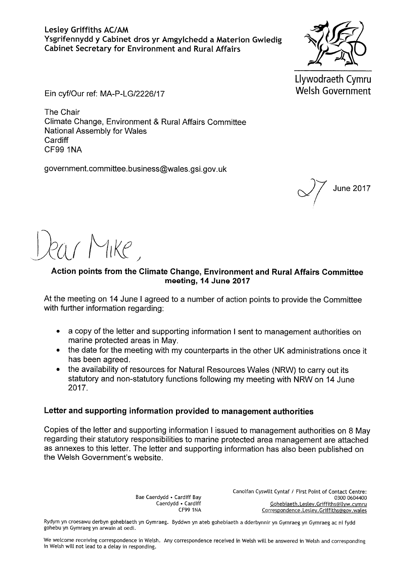Llywodraeth Cymru **Welsh Government** 

Ein cyf/Our ref: MA-P-LG/2226/17

The Chair Climate Change, Environment & Rural Affairs Committee **National Assembly for Wales** Cardiff **CF99 1NA** 

government.committee.business@wales.gsi.gov.uk

**June 2017** 

 $\gamma$  Mike

# Action points from the Climate Change, Environment and Rural Affairs Committee meeting, 14 June 2017

At the meeting on 14 June I agreed to a number of action points to provide the Committee with further information regarding:

- a copy of the letter and supporting information I sent to management authorities on  $\bullet$ marine protected areas in May.
- the date for the meeting with my counterparts in the other UK administrations once it has been agreed.
- the availability of resources for Natural Resources Wales (NRW) to carry out its statutory and non-statutory functions following my meeting with NRW on 14 June 2017.

### Letter and supporting information provided to management authorities

Copies of the letter and supporting information I issued to management authorities on 8 May regarding their statutory responsibilities to marine protected area management are attached as annexes to this letter. The letter and supporting information has also been published on the Welsh Government's website.

> Bae Caerdydd . Cardiff Bav Caerdydd . Cardiff **CF99 1NA**

Canolfan Cyswllt Cyntaf / First Point of Contact Centre: 0300 0604400 Gohebiaeth.Lesley.Griffiths@llyw.cymru Correspondence.Lesley.Griffiths@gov.wales

Rydym yn croesawu derbyn gohebiaeth yn Gymraeg. Byddwn yn ateb gohebiaeth a dderbynnir yn Gymraeg yn Gymraeg ac ni fydd gohebu yn Gymraeg yn arwain at oedi.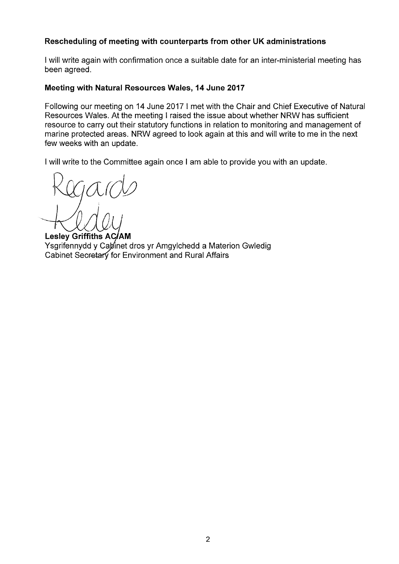### Rescheduling of meeting with counterparts from other UK administrations

I will write again with confirmation once a suitable date for an inter-ministerial meeting has been agreed.

#### Meeting with Natural Resources Wales, 14 June 2017

Following our meeting on 14 June 2017 I met with the Chair and Chief Executive of Natural Resources Wales. At the meeting I raised the issue about whether NRW has sufficient resource to carry out their statutory functions in relation to monitoring and management of marine protected areas. NRW agreed to look again at this and will write to me in the next few weeks with an update.

I will write to the Committee again once I am able to provide you with an update.

**Lesley Griffiths AC/AM** Ysgrifennydd y Cabinet dros yr Amgylchedd a Materion Gwledig Cabinet Secretary for Environment and Rural Affairs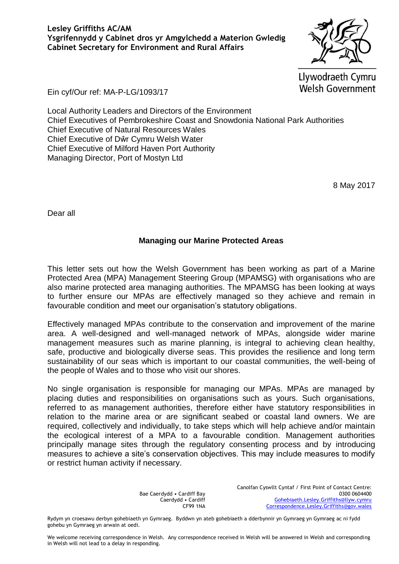**Lesley Griffiths AC/AM Ysgrifennydd y Cabinet dros yr Amgylchedd a Materion Gwledig Cabinet Secretary for Environment and Rural Affairs**

Llywodraeth Cymru **Welsh Government** 

Ein cyf/Our ref: MA-P-LG/1093/17

Local Authority Leaders and Directors of the Environment Chief Executives of Pembrokeshire Coast and Snowdonia National Park Authorities Chief Executive of Natural Resources Wales Chief Executive of Dŵr Cymru Welsh Water Chief Executive of Milford Haven Port Authority Managing Director, Port of Mostyn Ltd

8 May 2017

Dear all

### **Managing our Marine Protected Areas**

This letter sets out how the Welsh Government has been working as part of a Marine Protected Area (MPA) Management Steering Group (MPAMSG) with organisations who are also marine protected area managing authorities. The MPAMSG has been looking at ways to further ensure our MPAs are effectively managed so they achieve and remain in favourable condition and meet our organisation's statutory obligations.

Effectively managed MPAs contribute to the conservation and improvement of the marine area. A well-designed and well-managed network of MPAs, alongside wider marine management measures such as marine planning, is integral to achieving clean healthy, safe, productive and biologically diverse seas. This provides the resilience and long term sustainability of our seas which is important to our coastal communities, the well-being of the people of Wales and to those who visit our shores.

No single organisation is responsible for managing our MPAs. MPAs are managed by placing duties and responsibilities on organisations such as yours. Such organisations, referred to as management authorities, therefore either have statutory responsibilities in relation to the marine area or are significant seabed or coastal land owners. We are required, collectively and individually, to take steps which will help achieve and/or maintain the ecological interest of a MPA to a favourable condition. Management authorities principally manage sites through the regulatory consenting process and by introducing measures to achieve a site's conservation objectives. This may include measures to modify or restrict human activity if necessary.

> Bae Caerdydd • Cardiff Bay Caerdydd • Cardiff CF99 1NA

Canolfan Cyswllt Cyntaf / First Point of Contact Centre: 0300 0604400 [Gohebiaeth.Lesley.Griffiths@llyw.cymru](mailto:Gohebiaeth.Lesley.Griffiths@llyw.cymru) [Correspondence.Lesley.Griffiths@gov.wales](mailto:Correspondence.Lesley.Griffiths@gov.wales)

Rydym yn croesawu derbyn gohebiaeth yn Gymraeg. Byddwn yn ateb gohebiaeth a dderbynnir yn Gymraeg yn Gymraeg ac ni fydd gohebu yn Gymraeg yn arwain at oedi.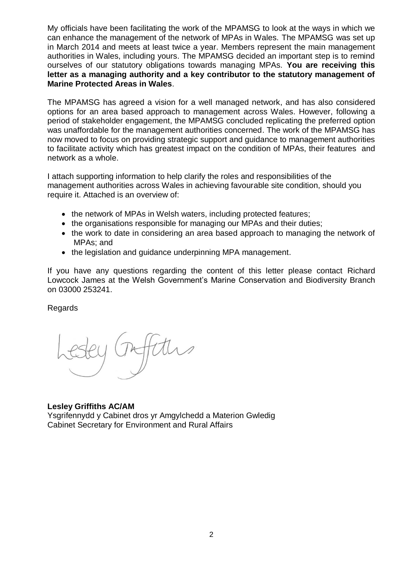My officials have been facilitating the work of the MPAMSG to look at the ways in which we can enhance the management of the network of MPAs in Wales. The MPAMSG was set up in March 2014 and meets at least twice a year. Members represent the main management authorities in Wales, including yours. The MPAMSG decided an important step is to remind ourselves of our statutory obligations towards managing MPAs. **You are receiving this letter as a managing authority and a key contributor to the statutory management of Marine Protected Areas in Wales**.

The MPAMSG has agreed a vision for a well managed network, and has also considered options for an area based approach to management across Wales. However, following a period of stakeholder engagement, the MPAMSG concluded replicating the preferred option was unaffordable for the management authorities concerned. The work of the MPAMSG has now moved to focus on providing strategic support and guidance to management authorities to facilitate activity which has greatest impact on the condition of MPAs, their features and network as a whole.

I attach supporting information to help clarify the roles and responsibilities of the management authorities across Wales in achieving favourable site condition, should you require it. Attached is an overview of:

- the network of MPAs in Welsh waters, including protected features;
- the organisations responsible for managing our MPAs and their duties;
- the work to date in considering an area based approach to managing the network of MPAs; and
- the legislation and guidance underpinning MPA management.

If you have any questions regarding the content of this letter please contact Richard Lowcock James at the Welsh Government's Marine Conservation and Biodiversity Branch on 03000 253241.

### Regards

### **Lesley Griffiths AC/AM**

Ysgrifennydd y Cabinet dros yr Amgylchedd a Materion Gwledig Cabinet Secretary for Environment and Rural Affairs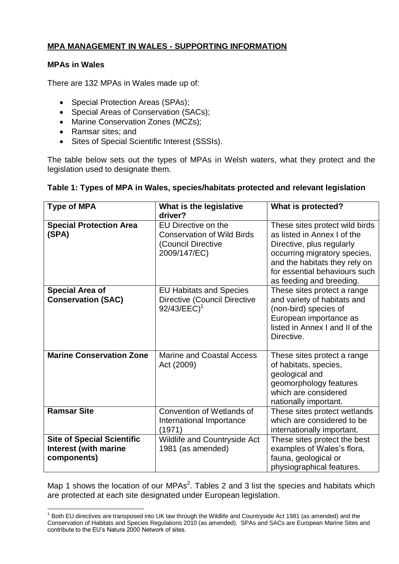# **MPA MANAGEMENT IN WALES - SUPPORTING INFORMATION**

### **MPAs in Wales**

L,

There are 132 MPAs in Wales made up of:

- Special Protection Areas (SPAs);
- Special Areas of Conservation (SACs);
- Marine Conservation Zones (MCZs);
- Ramsar sites; and
- Sites of Special Scientific Interest (SSSIs).

The table below sets out the types of MPAs in Welsh waters, what they protect and the legislation used to designate them.

### **Table 1: Types of MPA in Wales, species/habitats protected and relevant legislation**

| <b>Type of MPA</b>                                                               | What is the legislative<br>driver?                                                                | What is protected?                                                                                                                                                                                                       |
|----------------------------------------------------------------------------------|---------------------------------------------------------------------------------------------------|--------------------------------------------------------------------------------------------------------------------------------------------------------------------------------------------------------------------------|
| <b>Special Protection Area</b><br>(SPA)                                          | EU Directive on the<br><b>Conservation of Wild Birds</b><br>(Council Directive<br>2009/147/EC)    | These sites protect wild birds<br>as listed in Annex I of the<br>Directive, plus regularly<br>occurring migratory species,<br>and the habitats they rely on<br>for essential behaviours such<br>as feeding and breeding. |
| <b>Special Area of</b><br><b>Conservation (SAC)</b>                              | <b>EU Habitats and Species</b><br><b>Directive (Council Directive</b><br>$92/43/EEC$ <sup>1</sup> | These sites protect a range<br>and variety of habitats and<br>(non-bird) species of<br>European importance as<br>listed in Annex I and II of the<br>Directive.                                                           |
| <b>Marine Conservation Zone</b>                                                  | <b>Marine and Coastal Access</b><br>Act (2009)                                                    | These sites protect a range<br>of habitats, species,<br>geological and<br>geomorphology features<br>which are considered<br>nationally important.                                                                        |
| <b>Ramsar Site</b>                                                               | Convention of Wetlands of<br>International Importance<br>(1971)                                   | These sites protect wetlands<br>which are considered to be<br>internationally important.                                                                                                                                 |
| <b>Site of Special Scientific</b><br><b>Interest (with marine</b><br>components) | Wildlife and Countryside Act<br>1981 (as amended)                                                 | These sites protect the best<br>examples of Wales's flora,<br>fauna, geological or<br>physiographical features.                                                                                                          |

Map 1 shows the location of our MPAs<sup>2</sup>. Tables 2 and 3 list the species and habitats which are protected at each site designated under European legislation.

 $1$  Both EU directives are transposed into UK law through the Wildlife and Countryside Act 1981 (as amended) and the Conservation of Habitats and Species Regulations 2010 (as amended). SPAs and SACs are European Marine Sites and contribute to the EU's Natura 2000 Network of sites.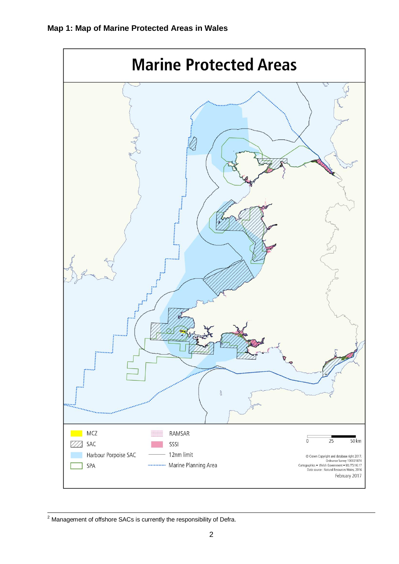

L,  $2$  Management of offshore SACs is currently the responsibility of Defra.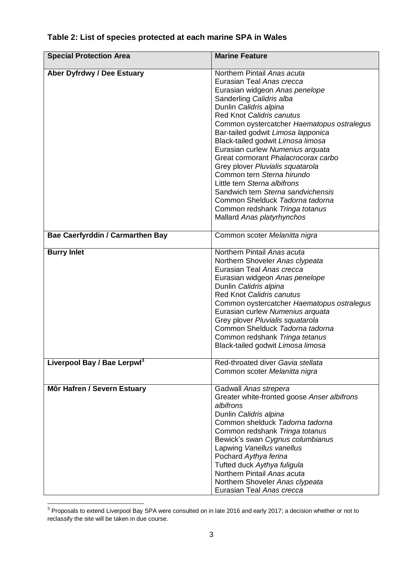| <b>Special Protection Area</b>          | <b>Marine Feature</b>                                                                                                                                                                                                                                                                                                                                                                                                                                                                                                                                                                                                               |
|-----------------------------------------|-------------------------------------------------------------------------------------------------------------------------------------------------------------------------------------------------------------------------------------------------------------------------------------------------------------------------------------------------------------------------------------------------------------------------------------------------------------------------------------------------------------------------------------------------------------------------------------------------------------------------------------|
| Aber Dyfrdwy / Dee Estuary              | Northern Pintail Anas acuta<br>Eurasian Teal Anas crecca<br>Eurasian widgeon Anas penelope<br>Sanderling Calidris alba<br>Dunlin Calidris alpina<br><b>Red Knot Calidris canutus</b><br>Common oystercatcher Haematopus ostralegus<br>Bar-tailed godwit Limosa lapponica<br>Black-tailed godwit Limosa limosa<br>Eurasian curlew Numenius arquata<br>Great cormorant Phalacrocorax carbo<br>Grey plover Pluvialis squatarola<br>Common tern Sterna hirundo<br>Little tern Sterna albifrons<br>Sandwich tern Sterna sandvichensis<br>Common Shelduck Tadorna tadorna<br>Common redshank Tringa totanus<br>Mallard Anas platyrhynchos |
| <b>Bae Caerfyrddin / Carmarthen Bay</b> | Common scoter Melanitta nigra                                                                                                                                                                                                                                                                                                                                                                                                                                                                                                                                                                                                       |
| <b>Burry Inlet</b>                      | Northern Pintail Anas acuta<br>Northern Shoveler Anas clypeata<br>Eurasian Teal Anas crecca<br>Eurasian widgeon Anas penelope<br>Dunlin Calidris alpina<br>Red Knot Calidris canutus<br>Common oystercatcher Haematopus ostralegus<br>Eurasian curlew Numenius arquata<br>Grey plover Pluvialis squatarola<br>Common Shelduck Tadorna tadorna<br>Common redshank Tringa tetanus<br>Black-tailed godwit Limosa limosa                                                                                                                                                                                                                |
| Liverpool Bay / Bae Lerpwl <sup>3</sup> | Red-throated diver Gavia stellata<br>Common scoter Melanitta nigra                                                                                                                                                                                                                                                                                                                                                                                                                                                                                                                                                                  |
| Môr Hafren / Severn Estuary             | Gadwall Anas strepera<br>Greater white-fronted goose Anser albifrons<br>albifrons<br>Dunlin Calidris alpina<br>Common shelduck Tadorna tadorna<br>Common redshank Tringa totanus<br>Bewick's swan Cygnus columbianus<br>Lapwing Vanellus vanellus<br>Pochard Aythya ferina<br>Tufted duck Aythya fuligula<br>Northern Pintail Anas acuta<br>Northern Shoveler Anas clypeata<br>Eurasian Teal Anas crecca                                                                                                                                                                                                                            |

# **Table 2: List of species protected at each marine SPA in Wales**

L,

 $3$  Proposals to extend Liverpool Bay SPA were consulted on in late 2016 and early 2017; a decision whether or not to reclassify the site will be taken in due course.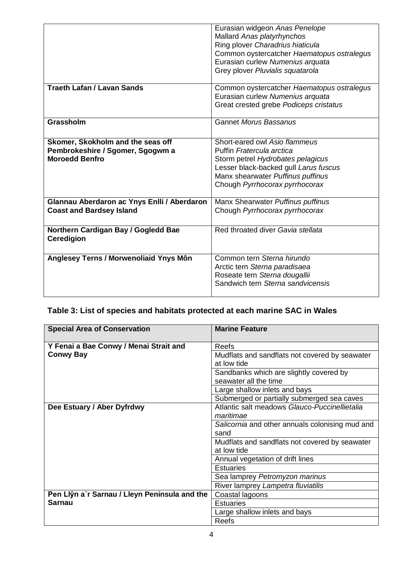|                                                                                                | Eurasian widgeon Anas Penelope<br>Mallard Anas platyrhynchos<br>Ring plover Charadrius hiaticula<br>Common oystercatcher Haematopus ostralegus<br>Eurasian curlew Numenius arquata                              |
|------------------------------------------------------------------------------------------------|-----------------------------------------------------------------------------------------------------------------------------------------------------------------------------------------------------------------|
|                                                                                                | Grey plover Pluvialis squatarola                                                                                                                                                                                |
| <b>Traeth Lafan / Lavan Sands</b>                                                              | Common oystercatcher Haematopus ostralegus<br>Eurasian curlew Numenius arquata<br>Great crested grebe Podiceps cristatus                                                                                        |
| Grassholm                                                                                      | <b>Gannet Morus Bassanus</b>                                                                                                                                                                                    |
| Skomer, Skokholm and the seas off<br>Pembrokeshire / Sgomer, Sgogwm a<br><b>Moroedd Benfro</b> | Short-eared owl Asio flammeus<br>Puffin Fratercula arctica<br>Storm petrel Hydrobates pelagicus<br>Lesser black-backed gull Larus fuscus<br>Manx shearwater Puffinus puffinus<br>Chough Pyrrhocorax pyrrhocorax |
| Glannau Aberdaron ac Ynys Enlli / Aberdaron<br><b>Coast and Bardsey Island</b>                 | Manx Shearwater Puffinus puffinus<br>Chough Pyrrhocorax pyrrhocorax                                                                                                                                             |
| Northern Cardigan Bay / Gogledd Bae<br><b>Ceredigion</b>                                       | Red throated diver Gavia stellata                                                                                                                                                                               |
| Anglesey Terns / Morwenoliaid Ynys Môn                                                         | Common tern Sterna hirundo<br>Arctic tern Sterna paradisaea<br>Roseate tern Sterna dougallii<br>Sandwich tern Sterna sandvicensis                                                                               |

# **Table 3: List of species and habitats protected at each marine SAC in Wales**

| <b>Special Area of Conservation</b>                        | <b>Marine Feature</b>                           |
|------------------------------------------------------------|-------------------------------------------------|
| Y Fenai a Bae Conwy / Menai Strait and<br><b>Conwy Bay</b> | <b>Reefs</b>                                    |
|                                                            | Mudflats and sandflats not covered by seawater  |
|                                                            | at low tide                                     |
|                                                            | Sandbanks which are slightly covered by         |
|                                                            | seawater all the time                           |
|                                                            | Large shallow inlets and bays                   |
|                                                            | Submerged or partially submerged sea caves      |
| Dee Estuary / Aber Dyfrdwy                                 | Atlantic salt meadows Glauco-Puccinellietalia   |
|                                                            | maritimae                                       |
|                                                            | Salicornia and other annuals colonising mud and |
|                                                            | sand                                            |
|                                                            | Mudflats and sandflats not covered by seawater  |
|                                                            | at low tide                                     |
|                                                            | Annual vegetation of drift lines                |
|                                                            | <b>Estuaries</b>                                |
|                                                            | Sea lamprey Petromyzon marinus                  |
|                                                            | River lamprey Lampetra fluviatilis              |
| Pen Llŷn a'r Sarnau / Lleyn Peninsula and the              | Coastal lagoons                                 |
| <b>Sarnau</b>                                              | <b>Estuaries</b>                                |
|                                                            | Large shallow inlets and bays                   |
|                                                            | Reefs                                           |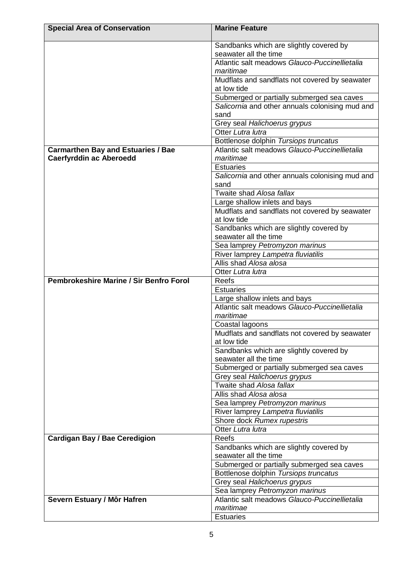| <b>Special Area of Conservation</b>                                         | <b>Marine Feature</b>                                                                  |
|-----------------------------------------------------------------------------|----------------------------------------------------------------------------------------|
|                                                                             | Sandbanks which are slightly covered by                                                |
|                                                                             | seawater all the time                                                                  |
|                                                                             | Atlantic salt meadows Glauco-Puccinellietalia                                          |
|                                                                             | maritimae                                                                              |
|                                                                             | Mudflats and sandflats not covered by seawater                                         |
|                                                                             | at low tide                                                                            |
|                                                                             | Submerged or partially submerged sea caves                                             |
|                                                                             | Salicornia and other annuals colonising mud and                                        |
|                                                                             | sand                                                                                   |
|                                                                             | Grey seal Halichoerus grypus                                                           |
|                                                                             | Otter Lutra lutra                                                                      |
|                                                                             | Bottlenose dolphin Tursiops truncatus<br>Atlantic salt meadows Glauco-Puccinellietalia |
| <b>Carmarthen Bay and Estuaries / Bae</b><br><b>Caerfyrddin ac Aberoedd</b> | maritimae                                                                              |
|                                                                             | <b>Estuaries</b>                                                                       |
|                                                                             | Salicornia and other annuals colonising mud and                                        |
|                                                                             | sand                                                                                   |
|                                                                             | Twaite shad Alosa fallax                                                               |
|                                                                             | Large shallow inlets and bays                                                          |
|                                                                             | Mudflats and sandflats not covered by seawater                                         |
|                                                                             | at low tide                                                                            |
|                                                                             | Sandbanks which are slightly covered by                                                |
|                                                                             | seawater all the time                                                                  |
|                                                                             | Sea lamprey Petromyzon marinus                                                         |
|                                                                             | River lamprey Lampetra fluviatilis                                                     |
|                                                                             | Allis shad Alosa alosa                                                                 |
|                                                                             | Otter Lutra lutra                                                                      |
| <b>Pembrokeshire Marine / Sir Benfro Forol</b>                              | Reefs                                                                                  |
|                                                                             | <b>Estuaries</b>                                                                       |
|                                                                             | Large shallow inlets and bays                                                          |
|                                                                             | Atlantic salt meadows Glauco-Puccinellietalia                                          |
|                                                                             | maritimae                                                                              |
|                                                                             | Coastal lagoons<br>Mudflats and sandflats not covered by seawater                      |
|                                                                             | at low tide                                                                            |
|                                                                             | Sandbanks which are slightly covered by                                                |
|                                                                             | seawater all the time                                                                  |
|                                                                             | Submerged or partially submerged sea caves                                             |
|                                                                             | Grey seal Halichoerus grypus                                                           |
|                                                                             | Twaite shad Alosa fallax                                                               |
|                                                                             | Allis shad Alosa alosa                                                                 |
|                                                                             | Sea lamprey Petromyzon marinus                                                         |
|                                                                             | River lamprey Lampetra fluviatilis                                                     |
|                                                                             | Shore dock Rumex rupestris                                                             |
|                                                                             | Otter Lutra lutra                                                                      |
| <b>Cardigan Bay / Bae Ceredigion</b>                                        | Reefs                                                                                  |
|                                                                             | Sandbanks which are slightly covered by                                                |
|                                                                             | seawater all the time                                                                  |
|                                                                             | Submerged or partially submerged sea caves                                             |
|                                                                             | Bottlenose dolphin Tursiops truncatus                                                  |
|                                                                             | Grey seal Halichoerus grypus                                                           |
|                                                                             | Sea lamprey Petromyzon marinus                                                         |
| Severn Estuary / Môr Hafren                                                 | Atlantic salt meadows Glauco-Puccinellietalia                                          |
|                                                                             | maritimae                                                                              |
|                                                                             | <b>Estuaries</b>                                                                       |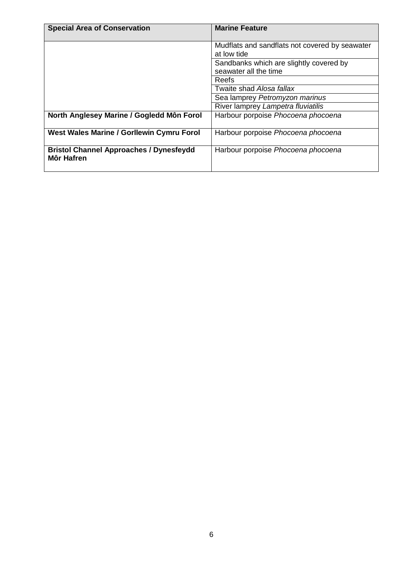| <b>Special Area of Conservation</b>                                 | <b>Marine Feature</b>                                            |
|---------------------------------------------------------------------|------------------------------------------------------------------|
|                                                                     | Mudflats and sandflats not covered by seawater<br>at low tide    |
|                                                                     | Sandbanks which are slightly covered by<br>seawater all the time |
|                                                                     | Reefs                                                            |
|                                                                     | Twaite shad Alosa fallax                                         |
|                                                                     | Sea lamprey Petromyzon marinus                                   |
|                                                                     | River lamprey Lampetra fluviatilis                               |
| North Anglesey Marine / Gogledd Môn Forol                           | Harbour porpoise Phocoena phocoena                               |
| West Wales Marine / Gorllewin Cymru Forol                           | Harbour porpoise Phocoena phocoena                               |
| <b>Bristol Channel Approaches / Dynesfeydd</b><br><b>Môr Hafren</b> | Harbour porpoise Phocoena phocoena                               |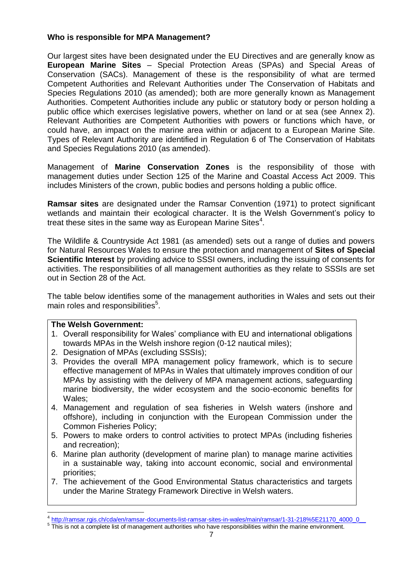### **Who is responsible for MPA Management?**

Our largest sites have been designated under the EU Directives and are generally know as **European Marine Sites** – Special Protection Areas (SPAs) and Special Areas of Conservation (SACs). Management of these is the responsibility of what are termed Competent Authorities and Relevant Authorities under The Conservation of Habitats and Species Regulations 2010 (as amended); both are more generally known as Management Authorities. Competent Authorities include any public or statutory body or person holding a public office which exercises legislative powers, whether on land or at sea (see Annex 2). Relevant Authorities are Competent Authorities with powers or functions which have, or could have, an impact on the marine area within or adjacent to a European Marine Site. Types of Relevant Authority are identified in Regulation 6 of The Conservation of Habitats and Species Regulations 2010 (as amended).

Management of **Marine Conservation Zones** is the responsibility of those with management duties under Section 125 of the Marine and Coastal Access Act 2009. This includes Ministers of the crown, public bodies and persons holding a public office.

**Ramsar sites** are designated under the Ramsar Convention (1971) to protect significant wetlands and maintain their ecological character. It is the Welsh Government's policy to treat these sites in the same way as European Marine Sites $4$ .

The Wildlife & Countryside Act 1981 (as amended) sets out a range of duties and powers for Natural Resources Wales to ensure the protection and management of **Sites of Special Scientific Interest** by providing advice to SSSI owners, including the issuing of consents for activities. The responsibilities of all management authorities as they relate to SSSIs are set out in Section 28 of the Act.

The table below identifies some of the management authorities in Wales and sets out their main roles and responsibilities<sup>5</sup>.

### **The Welsh Government:**

L,

- 1. Overall responsibility for Wales' compliance with EU and international obligations towards MPAs in the Welsh inshore region (0-12 nautical miles);
- 2. Designation of MPAs (excluding SSSIs);
- 3. Provides the overall MPA management policy framework, which is to secure effective management of MPAs in Wales that ultimately improves condition of our MPAs by assisting with the delivery of MPA management actions, safeguarding marine biodiversity, the wider ecosystem and the socio-economic benefits for Wales;
- 4. Management and regulation of sea fisheries in Welsh waters (inshore and offshore), including in conjunction with the European Commission under the Common Fisheries Policy;
- 5. Powers to make orders to control activities to protect MPAs (including fisheries and recreation);
- 6. Marine plan authority (development of marine plan) to manage marine activities in a sustainable way, taking into account economic, social and environmental priorities;
- 7. The achievement of the Good Environmental Status characteristics and targets under the Marine Strategy Framework Directive in Welsh waters.

<sup>4</sup> [http://ramsar.rgis.ch/cda/en/ramsar-documents-list-ramsar-sites-in-wales/main/ramsar/1-31-218%5E21170\\_4000\\_0\\_\\_](http://ramsar.rgis.ch/cda/en/ramsar-documents-list-ramsar-sites-in-wales/main/ramsar/1-31-218%5E21170_4000_0__)

 $5$  This is not a complete list of management authorities who have responsibilities within the marine environment.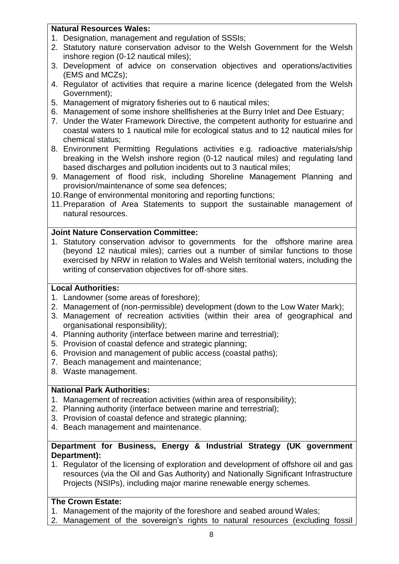### **Natural Resources Wales:**

- 1. Designation, management and regulation of SSSIs;
- 2. Statutory nature conservation advisor to the Welsh Government for the Welsh inshore region (0-12 nautical miles);
- 3. Development of advice on conservation objectives and operations/activities (EMS and MCZs);
- 4. Regulator of activities that require a marine licence (delegated from the Welsh Government);
- 5. Management of migratory fisheries out to 6 nautical miles;
- 6. Management of some inshore shellfisheries at the Burry Inlet and Dee Estuary;
- 7. Under the Water Framework Directive, the competent authority for estuarine and coastal waters to 1 nautical mile for ecological status and to 12 nautical miles for chemical status;
- 8. Environment Permitting Regulations activities e.g. radioactive materials/ship breaking in the Welsh inshore region (0-12 nautical miles) and regulating land based discharges and pollution incidents out to 3 nautical miles;
- 9. Management of flood risk, including Shoreline Management Planning and provision/maintenance of some sea defences;
- 10.Range of environmental monitoring and reporting functions;
- 11.Preparation of Area Statements to support the sustainable management of natural resources.

# **Joint Nature Conservation Committee:**

1. Statutory conservation advisor to governments for the offshore marine area (beyond 12 nautical miles); carries out a number of similar functions to those exercised by NRW in relation to Wales and Welsh territorial waters, including the writing of conservation objectives for off-shore sites.

# **Local Authorities:**

- 1. Landowner (some areas of foreshore);
- 2. Management of (non-permissible) development (down to the Low Water Mark);
- 3. Management of recreation activities (within their area of geographical and organisational responsibility);
- 4. Planning authority (interface between marine and terrestrial);
- 5. Provision of coastal defence and strategic planning;
- 6. Provision and management of public access (coastal paths);
- 7. Beach management and maintenance;
- 8. Waste management.

# **National Park Authorities:**

- 1. Management of recreation activities (within area of responsibility);
- 2. Planning authority (interface between marine and terrestrial);
- 3. Provision of coastal defence and strategic planning;
- 4. Beach management and maintenance.

# **Department for Business, Energy & Industrial Strategy (UK government Department):**

1. Regulator of the licensing of exploration and development of offshore oil and gas resources (via the Oil and Gas Authority) and Nationally Significant Infrastructure Projects (NSIPs), including major marine renewable energy schemes.

# **The Crown Estate:**

- 1. Management of the majority of the foreshore and seabed around Wales;
- 2. Management of the sovereign's rights to natural resources (excluding fossil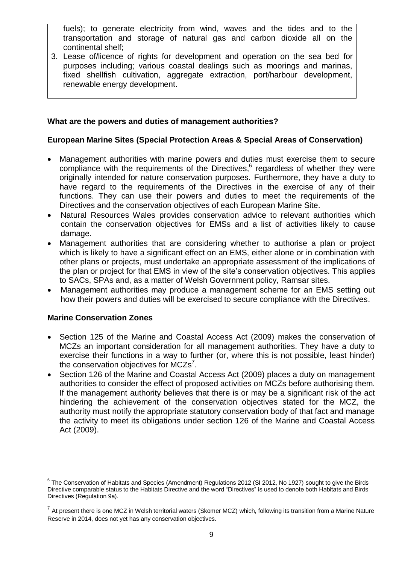fuels); to generate electricity from wind, waves and the tides and to the transportation and storage of natural gas and carbon dioxide all on the continental shelf;

3. Lease of/licence of rights for development and operation on the sea bed for purposes including; various coastal dealings such as moorings and marinas, fixed shellfish cultivation, aggregate extraction, port/harbour development, renewable energy development.

### **What are the powers and duties of management authorities?**

# **European Marine Sites (Special Protection Areas & Special Areas of Conservation)**

- Management authorities with marine powers and duties must exercise them to secure compliance with the requirements of the Directives,<sup>6</sup> regardless of whether they were originally intended for nature conservation purposes. Furthermore, they have a duty to have regard to the requirements of the Directives in the exercise of any of their functions. They can use their powers and duties to meet the requirements of the Directives and the conservation objectives of each European Marine Site.
- Natural Resources Wales provides conservation advice to relevant authorities which contain the conservation objectives for EMSs and a list of activities likely to cause damage.
- Management authorities that are considering whether to authorise a plan or project which is likely to have a significant effect on an EMS, either alone or in combination with other plans or projects, must undertake an appropriate assessment of the implications of the plan or project for that EMS in view of the site's conservation objectives. This applies to SACs, SPAs and, as a matter of Welsh Government policy, Ramsar sites.
- Management authorities may produce a management scheme for an EMS setting out how their powers and duties will be exercised to secure compliance with the Directives.

### **Marine Conservation Zones**

- Section 125 of the Marine and Coastal Access Act (2009) makes the conservation of MCZs an important consideration for all management authorities. They have a duty to exercise their functions in a way to further (or, where this is not possible, least hinder) the conservation objectives for  $MCZs<sup>7</sup>$ .
- Section 126 of the Marine and Coastal Access Act (2009) places a duty on management authorities to consider the effect of proposed activities on MCZs before authorising them. If the management authority believes that there is or may be a significant risk of the act hindering the achievement of the conservation objectives stated for the MCZ, the authority must notify the appropriate statutory conservation body of that fact and manage the activity to meet its obligations under section 126 of the Marine and Coastal Access Act (2009).

L, <sup>6</sup> The Conservation of Habitats and Species (Amendment) Regulations 2012 (SI 2012, No 1927) sought to give the Birds Directive comparable status to the Habitats Directive and the word "Directives" is used to denote both Habitats and Birds Directives (Regulation 9a).

 $^7$  At present there is one MCZ in Welsh territorial waters (Skomer MCZ) which, following its transition from a Marine Nature Reserve in 2014, does not yet has any conservation objectives.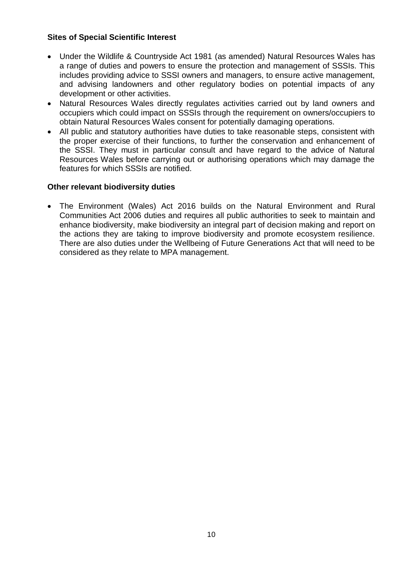# **Sites of Special Scientific Interest**

- Under the Wildlife & Countryside Act 1981 (as amended) Natural Resources Wales has a range of duties and powers to ensure the protection and management of SSSIs. This includes providing advice to SSSI owners and managers, to ensure active management, and advising landowners and other regulatory bodies on potential impacts of any development or other activities.
- Natural Resources Wales directly regulates activities carried out by land owners and occupiers which could impact on SSSIs through the requirement on owners/occupiers to obtain Natural Resources Wales consent for potentially damaging operations.
- All public and statutory authorities have duties to take reasonable steps, consistent with the proper exercise of their functions, to further the conservation and enhancement of the SSSI. They must in particular consult and have regard to the advice of Natural Resources Wales before carrying out or authorising operations which may damage the features for which SSSIs are notified.

# **Other relevant biodiversity duties**

 The Environment (Wales) Act 2016 builds on the Natural Environment and Rural Communities Act 2006 duties and requires all public authorities to seek to maintain and enhance biodiversity, make biodiversity an integral part of decision making and report on the actions they are taking to improve biodiversity and promote ecosystem resilience. There are also duties under the Wellbeing of Future Generations Act that will need to be considered as they relate to MPA management.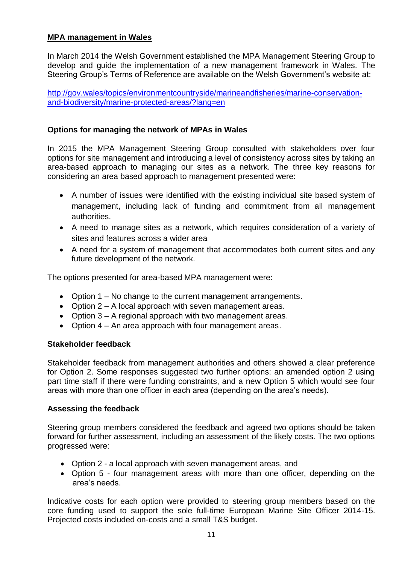# **MPA management in Wales**

In March 2014 the Welsh Government established the MPA Management Steering Group to develop and guide the implementation of a new management framework in Wales. The Steering Group's Terms of Reference are available on the Welsh Government's website at:

[http://gov.wales/topics/environmentcountryside/marineandfisheries/marine-conservation](http://gov.wales/topics/environmentcountryside/marineandfisheries/marine-conservation-and-biodiversity/marine-protected-areas/?lang=en)[and-biodiversity/marine-protected-areas/?lang=en](http://gov.wales/topics/environmentcountryside/marineandfisheries/marine-conservation-and-biodiversity/marine-protected-areas/?lang=en)

# **Options for managing the network of MPAs in Wales**

In 2015 the MPA Management Steering Group consulted with stakeholders over four options for site management and introducing a level of consistency across sites by taking an area-based approach to managing our sites as a network. The three key reasons for considering an area based approach to management presented were:

- A number of issues were identified with the existing individual site based system of management, including lack of funding and commitment from all management authorities.
- A need to manage sites as a network, which requires consideration of a variety of sites and features across a wider area
- A need for a system of management that accommodates both current sites and any future development of the network.

The options presented for area-based MPA management were:

- Option 1 No change to the current management arrangements.
- Option 2 A local approach with seven management areas.
- Option 3 A regional approach with two management areas.
- Option 4 An area approach with four management areas.

### **Stakeholder feedback**

Stakeholder feedback from management authorities and others showed a clear preference for Option 2. Some responses suggested two further options: an amended option 2 using part time staff if there were funding constraints, and a new Option 5 which would see four areas with more than one officer in each area (depending on the area's needs).

### **Assessing the feedback**

Steering group members considered the feedback and agreed two options should be taken forward for further assessment, including an assessment of the likely costs. The two options progressed were:

- Option 2 a local approach with seven management areas, and
- Option 5 four management areas with more than one officer, depending on the area's needs.

Indicative costs for each option were provided to steering group members based on the core funding used to support the sole full-time European Marine Site Officer 2014-15. Projected costs included on-costs and a small T&S budget.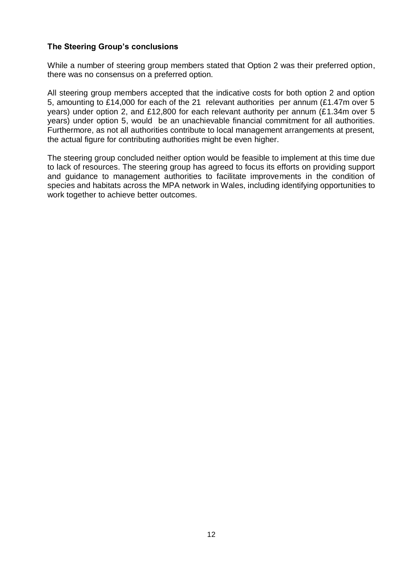### **The Steering Group's conclusions**

While a number of steering group members stated that Option 2 was their preferred option, there was no consensus on a preferred option.

All steering group members accepted that the indicative costs for both option 2 and option 5, amounting to £14,000 for each of the 21 relevant authorities per annum (£1.47m over 5 years) under option 2, and £12,800 for each relevant authority per annum (£1.34m over 5 years) under option 5, would be an unachievable financial commitment for all authorities. Furthermore, as not all authorities contribute to local management arrangements at present, the actual figure for contributing authorities might be even higher.

The steering group concluded neither option would be feasible to implement at this time due to lack of resources. The steering group has agreed to focus its efforts on providing support and guidance to management authorities to facilitate improvements in the condition of species and habitats across the MPA network in Wales, including identifying opportunities to work together to achieve better outcomes.